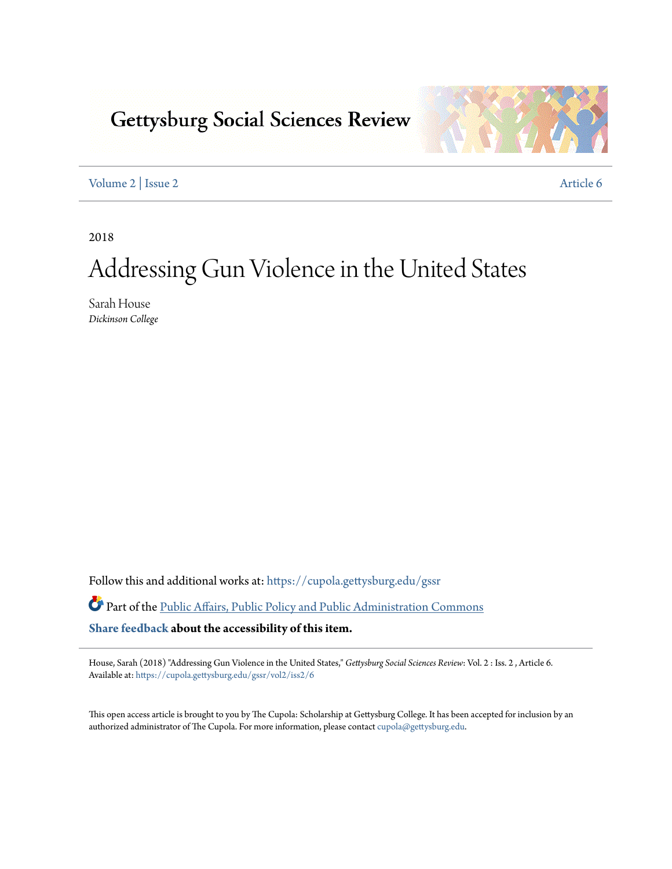# **Gettysburg Social Sciences Review**



[Volume 2](https://cupola.gettysburg.edu/gssr/vol2?utm_source=cupola.gettysburg.edu%2Fgssr%2Fvol2%2Fiss2%2F6&utm_medium=PDF&utm_campaign=PDFCoverPages) | [Issue 2](https://cupola.gettysburg.edu/gssr/vol2/iss2?utm_source=cupola.gettysburg.edu%2Fgssr%2Fvol2%2Fiss2%2F6&utm_medium=PDF&utm_campaign=PDFCoverPages) [Article 6](https://cupola.gettysburg.edu/gssr/vol2/iss2/6?utm_source=cupola.gettysburg.edu%2Fgssr%2Fvol2%2Fiss2%2F6&utm_medium=PDF&utm_campaign=PDFCoverPages)

2018

# Addressing Gun Violence in the United States

Sarah House *Dickinson College*

Follow this and additional works at: [https://cupola.gettysburg.edu/gssr](https://cupola.gettysburg.edu/gssr?utm_source=cupola.gettysburg.edu%2Fgssr%2Fvol2%2Fiss2%2F6&utm_medium=PDF&utm_campaign=PDFCoverPages)

Part of the [Public Affairs, Public Policy and Public Administration Commons](http://network.bepress.com/hgg/discipline/393?utm_source=cupola.gettysburg.edu%2Fgssr%2Fvol2%2Fiss2%2F6&utm_medium=PDF&utm_campaign=PDFCoverPages) **[Share feedback](https://docs.google.com/a/bepress.com/forms/d/1h9eEcpBPj5POs5oO6Y5A0blXRmZqykoonyYiZUNyEq8/viewform) about the accessibility of this item.**

House, Sarah (2018) "Addressing Gun Violence in the United States," *Gettysburg Social Sciences Review*: Vol. 2 : Iss. 2 , Article 6. Available at: [https://cupola.gettysburg.edu/gssr/vol2/iss2/6](https://cupola.gettysburg.edu/gssr/vol2/iss2/6?utm_source=cupola.gettysburg.edu%2Fgssr%2Fvol2%2Fiss2%2F6&utm_medium=PDF&utm_campaign=PDFCoverPages)

This open access article is brought to you by The Cupola: Scholarship at Gettysburg College. It has been accepted for inclusion by an authorized administrator of The Cupola. For more information, please contact [cupola@gettysburg.edu.](mailto:cupola@gettysburg.edu)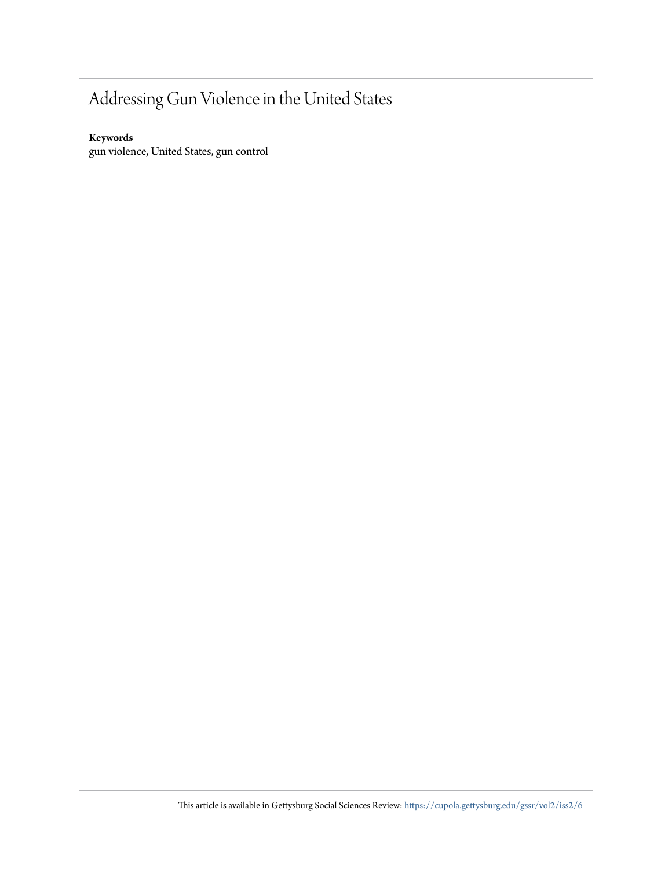## Addressing Gun Violence in the United States

#### **Keywords**

gun violence, United States, gun control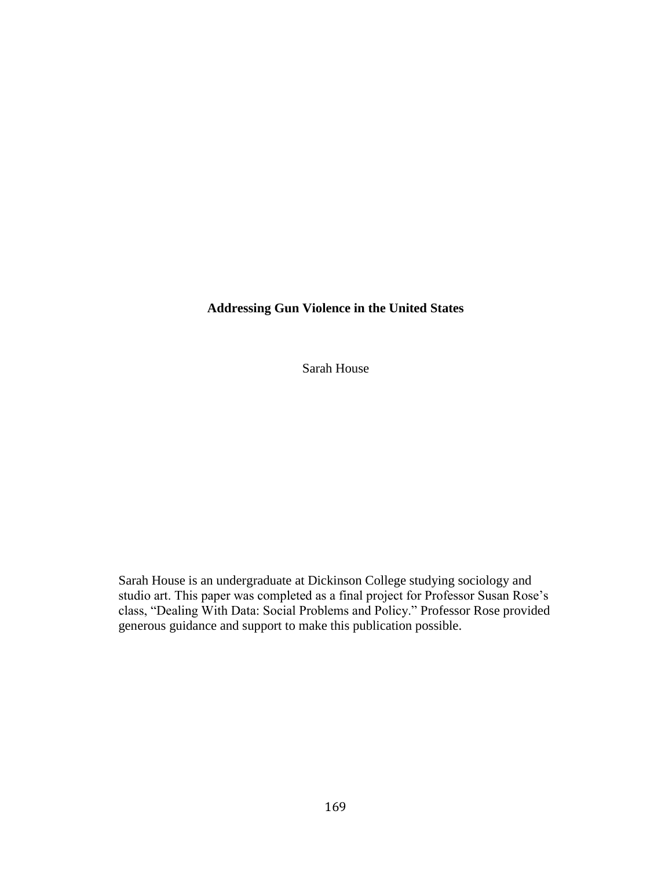### **Addressing Gun Violence in the United States**

Sarah House

Sarah House is an undergraduate at Dickinson College studying sociology and studio art. This paper was completed as a final project for Professor Susan Rose's class, "Dealing With Data: Social Problems and Policy." Professor Rose provided generous guidance and support to make this publication possible.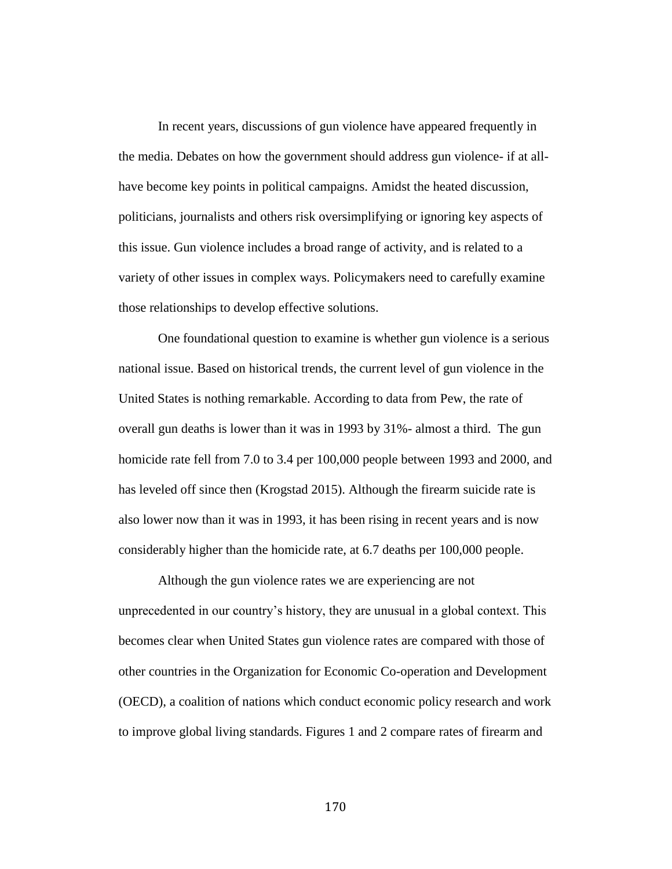In recent years, discussions of gun violence have appeared frequently in the media. Debates on how the government should address gun violence- if at allhave become key points in political campaigns. Amidst the heated discussion, politicians, journalists and others risk oversimplifying or ignoring key aspects of this issue. Gun violence includes a broad range of activity, and is related to a variety of other issues in complex ways. Policymakers need to carefully examine those relationships to develop effective solutions.

One foundational question to examine is whether gun violence is a serious national issue. Based on historical trends, the current level of gun violence in the United States is nothing remarkable. According to data from Pew, the rate of overall gun deaths is lower than it was in 1993 by 31%- almost a third. The gun homicide rate fell from 7.0 to 3.4 per 100,000 people between 1993 and 2000, and has leveled off since then (Krogstad 2015). Although the firearm suicide rate is also lower now than it was in 1993, it has been rising in recent years and is now considerably higher than the homicide rate, at 6.7 deaths per 100,000 people.

Although the gun violence rates we are experiencing are not unprecedented in our country's history, they are unusual in a global context. This becomes clear when United States gun violence rates are compared with those of other countries in the Organization for Economic Co-operation and Development (OECD), a coalition of nations which conduct economic policy research and work to improve global living standards. Figures 1 and 2 compare rates of firearm and

170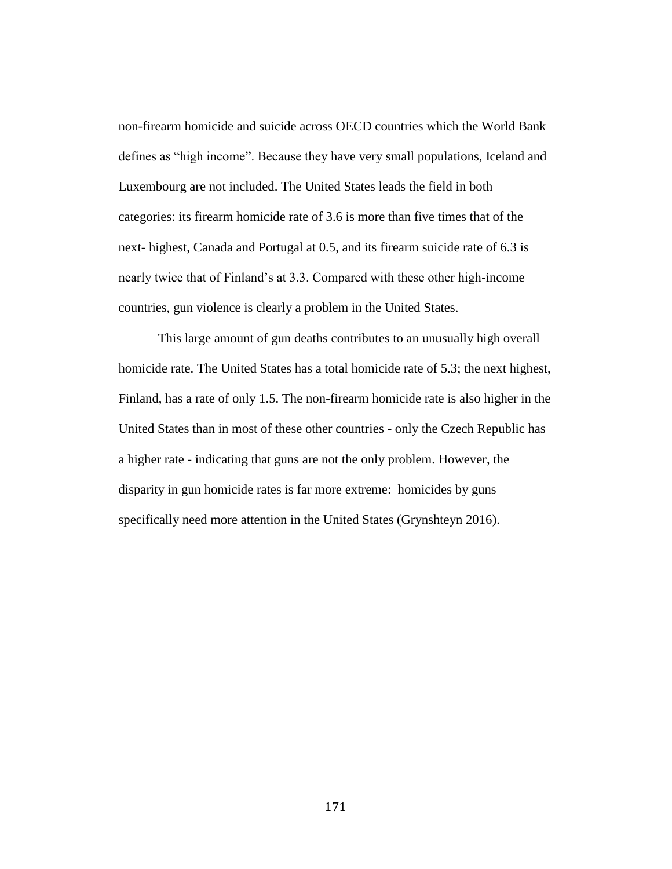non-firearm homicide and suicide across OECD countries which the World Bank defines as "high income". Because they have very small populations, Iceland and Luxembourg are not included. The United States leads the field in both categories: its firearm homicide rate of 3.6 is more than five times that of the next- highest, Canada and Portugal at 0.5, and its firearm suicide rate of 6.3 is nearly twice that of Finland's at 3.3. Compared with these other high-income countries, gun violence is clearly a problem in the United States.

This large amount of gun deaths contributes to an unusually high overall homicide rate. The United States has a total homicide rate of 5.3; the next highest, Finland, has a rate of only 1.5. The non-firearm homicide rate is also higher in the United States than in most of these other countries - only the Czech Republic has a higher rate - indicating that guns are not the only problem. However, the disparity in gun homicide rates is far more extreme: homicides by guns specifically need more attention in the United States (Grynshteyn 2016).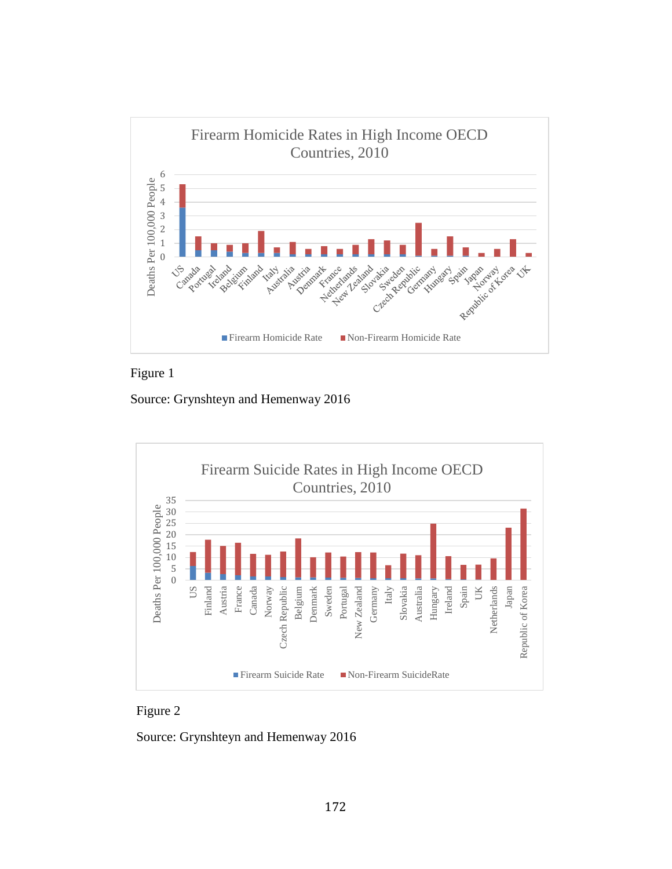



Source: Grynshteyn and Hemenway 2016





Source: Grynshteyn and Hemenway 2016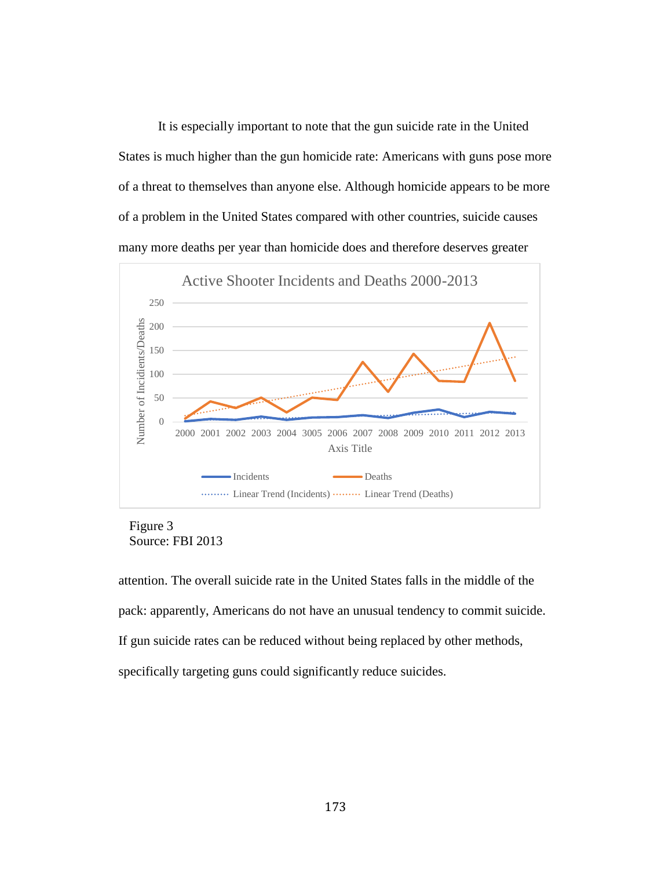It is especially important to note that the gun suicide rate in the United States is much higher than the gun homicide rate: Americans with guns pose more of a threat to themselves than anyone else. Although homicide appears to be more of a problem in the United States compared with other countries, suicide causes many more deaths per year than homicide does and therefore deserves greater



Figure 3 Source: FBI 2013

attention. The overall suicide rate in the United States falls in the middle of the pack: apparently, Americans do not have an unusual tendency to commit suicide. If gun suicide rates can be reduced without being replaced by other methods, specifically targeting guns could significantly reduce suicides.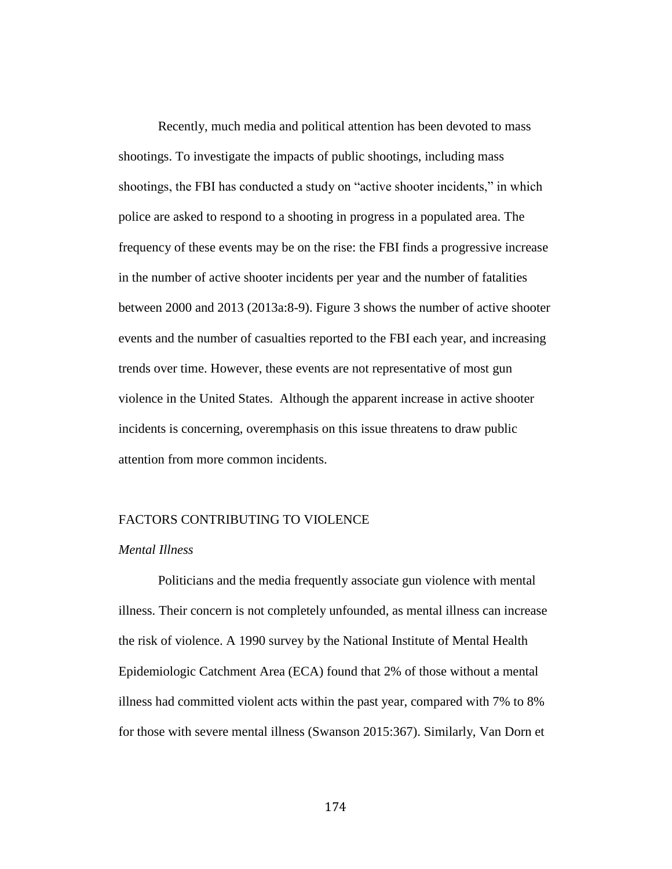Recently, much media and political attention has been devoted to mass shootings. To investigate the impacts of public shootings, including mass shootings, the FBI has conducted a study on "active shooter incidents," in which police are asked to respond to a shooting in progress in a populated area. The frequency of these events may be on the rise: the FBI finds a progressive increase in the number of active shooter incidents per year and the number of fatalities between 2000 and 2013 (2013a:8-9). Figure 3 shows the number of active shooter events and the number of casualties reported to the FBI each year, and increasing trends over time. However, these events are not representative of most gun violence in the United States. Although the apparent increase in active shooter incidents is concerning, overemphasis on this issue threatens to draw public attention from more common incidents.

#### FACTORS CONTRIBUTING TO VIOLENCE

#### *Mental Illness*

Politicians and the media frequently associate gun violence with mental illness. Their concern is not completely unfounded, as mental illness can increase the risk of violence. A 1990 survey by the National Institute of Mental Health Epidemiologic Catchment Area (ECA) found that 2% of those without a mental illness had committed violent acts within the past year, compared with 7% to 8% for those with severe mental illness (Swanson 2015:367). Similarly, Van Dorn et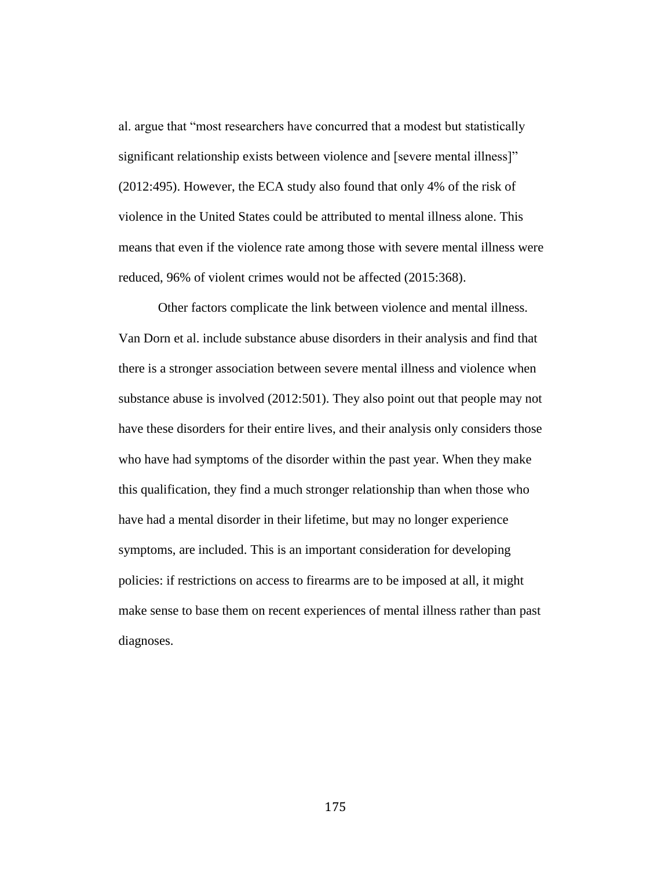al. argue that "most researchers have concurred that a modest but statistically significant relationship exists between violence and [severe mental illness]" (2012:495). However, the ECA study also found that only 4% of the risk of violence in the United States could be attributed to mental illness alone. This means that even if the violence rate among those with severe mental illness were reduced, 96% of violent crimes would not be affected (2015:368).

Other factors complicate the link between violence and mental illness. Van Dorn et al. include substance abuse disorders in their analysis and find that there is a stronger association between severe mental illness and violence when substance abuse is involved (2012:501). They also point out that people may not have these disorders for their entire lives, and their analysis only considers those who have had symptoms of the disorder within the past year. When they make this qualification, they find a much stronger relationship than when those who have had a mental disorder in their lifetime, but may no longer experience symptoms, are included. This is an important consideration for developing policies: if restrictions on access to firearms are to be imposed at all, it might make sense to base them on recent experiences of mental illness rather than past diagnoses.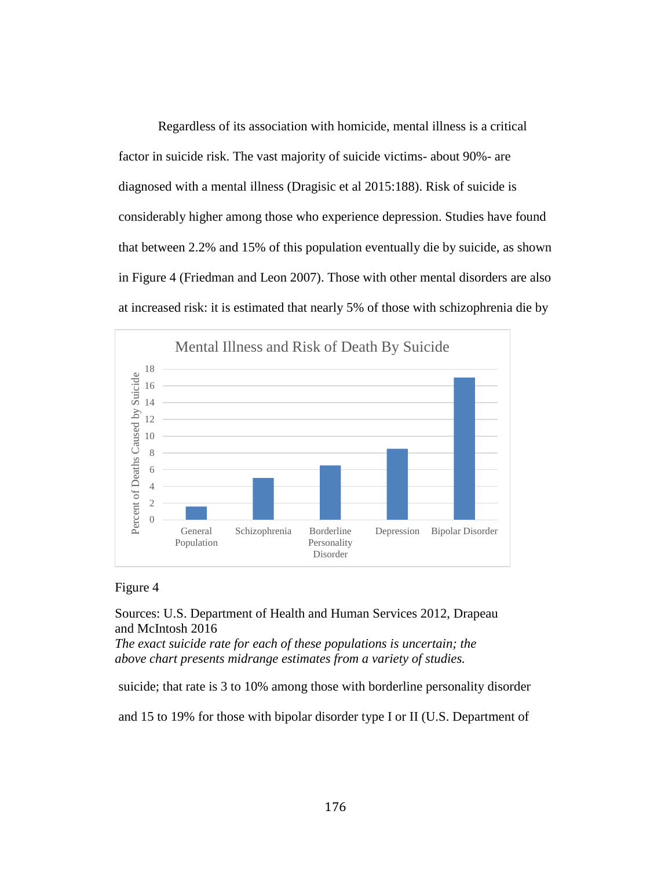Regardless of its association with homicide, mental illness is a critical factor in suicide risk. The vast majority of suicide victims- about 90%- are diagnosed with a mental illness (Dragisic et al 2015:188). Risk of suicide is considerably higher among those who experience depression. Studies have found that between 2.2% and 15% of this population eventually die by suicide, as shown in Figure 4 (Friedman and Leon 2007). Those with other mental disorders are also at increased risk: it is estimated that nearly 5% of those with schizophrenia die by



#### Figure 4

Sources: U.S. Department of Health and Human Services 2012, Drapeau and McIntosh 2016

*The exact suicide rate for each of these populations is uncertain; the above chart presents midrange estimates from a variety of studies.*

suicide; that rate is 3 to 10% among those with borderline personality disorder

and 15 to 19% for those with bipolar disorder type I or II (U.S. Department of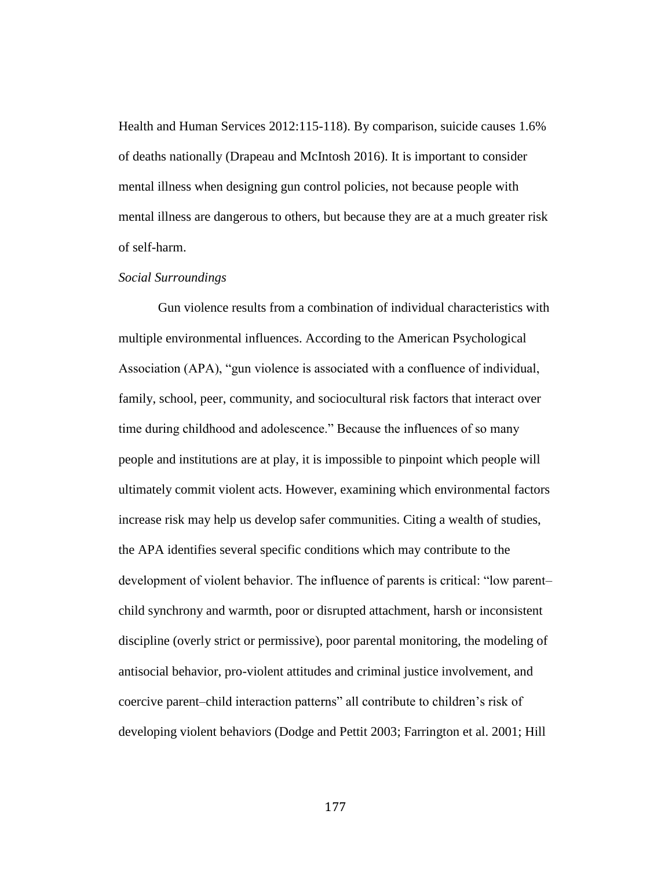Health and Human Services 2012:115-118). By comparison, suicide causes 1.6% of deaths nationally (Drapeau and McIntosh 2016). It is important to consider mental illness when designing gun control policies, not because people with mental illness are dangerous to others, but because they are at a much greater risk of self-harm.

#### *Social Surroundings*

Gun violence results from a combination of individual characteristics with multiple environmental influences. According to the American Psychological Association (APA), "gun violence is associated with a confluence of individual, family, school, peer, community, and sociocultural risk factors that interact over time during childhood and adolescence." Because the influences of so many people and institutions are at play, it is impossible to pinpoint which people will ultimately commit violent acts. However, examining which environmental factors increase risk may help us develop safer communities. Citing a wealth of studies, the APA identifies several specific conditions which may contribute to the development of violent behavior. The influence of parents is critical: "low parent– child synchrony and warmth, poor or disrupted attachment, harsh or inconsistent discipline (overly strict or permissive), poor parental monitoring, the modeling of antisocial behavior, pro-violent attitudes and criminal justice involvement, and coercive parent–child interaction patterns" all contribute to children's risk of developing violent behaviors (Dodge and Pettit 2003; Farrington et al. 2001; Hill

177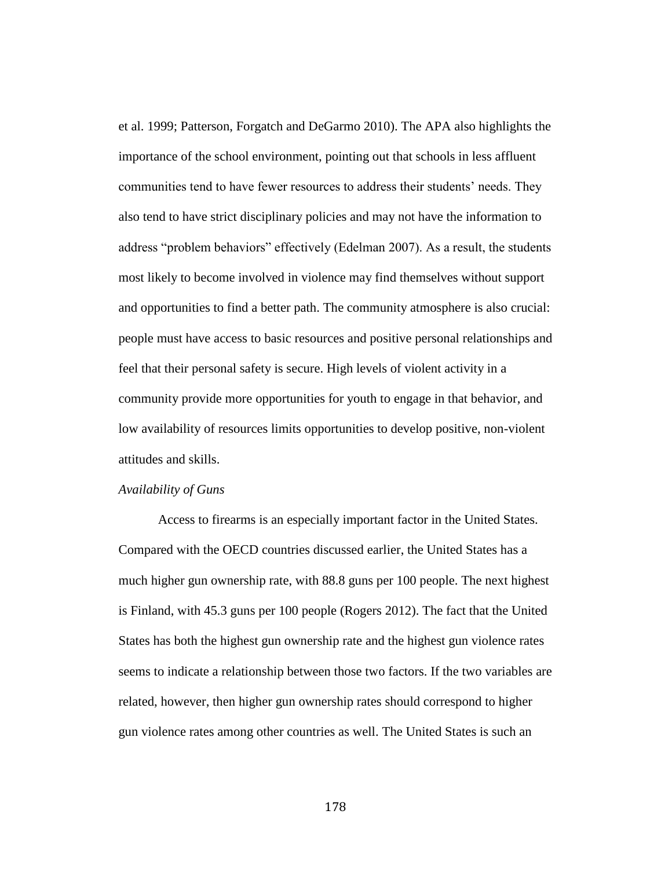et al. 1999; Patterson, Forgatch and DeGarmo 2010). The APA also highlights the importance of the school environment, pointing out that schools in less affluent communities tend to have fewer resources to address their students' needs. They also tend to have strict disciplinary policies and may not have the information to address "problem behaviors" effectively (Edelman 2007). As a result, the students most likely to become involved in violence may find themselves without support and opportunities to find a better path. The community atmosphere is also crucial: people must have access to basic resources and positive personal relationships and feel that their personal safety is secure. High levels of violent activity in a community provide more opportunities for youth to engage in that behavior, and low availability of resources limits opportunities to develop positive, non-violent attitudes and skills.

#### *Availability of Guns*

Access to firearms is an especially important factor in the United States. Compared with the OECD countries discussed earlier, the United States has a much higher gun ownership rate, with 88.8 guns per 100 people. The next highest is Finland, with 45.3 guns per 100 people (Rogers 2012). The fact that the United States has both the highest gun ownership rate and the highest gun violence rates seems to indicate a relationship between those two factors. If the two variables are related, however, then higher gun ownership rates should correspond to higher gun violence rates among other countries as well. The United States is such an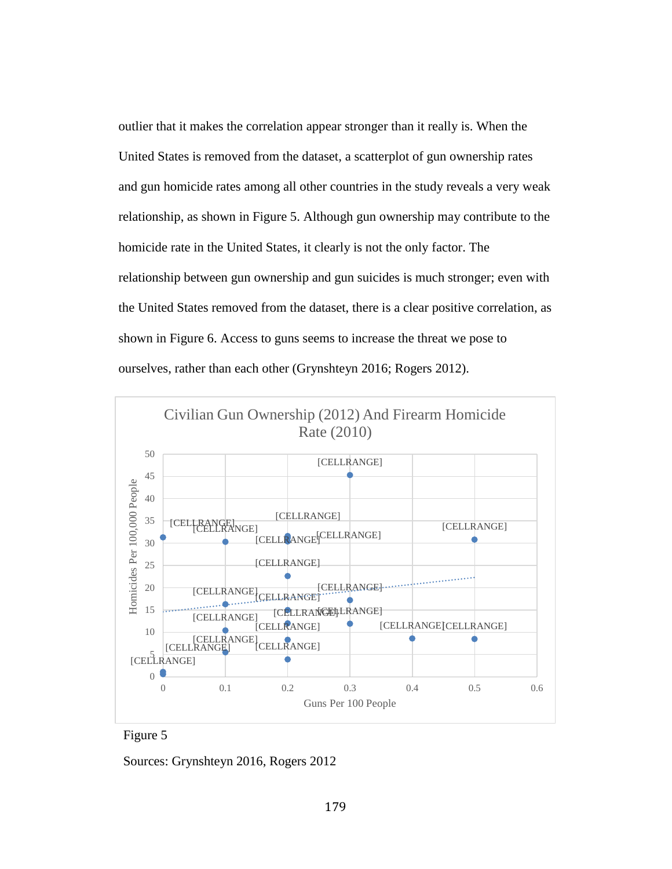outlier that it makes the correlation appear stronger than it really is. When the United States is removed from the dataset, a scatterplot of gun ownership rates and gun homicide rates among all other countries in the study reveals a very weak relationship, as shown in Figure 5. Although gun ownership may contribute to the homicide rate in the United States, it clearly is not the only factor. The relationship between gun ownership and gun suicides is much stronger; even with the United States removed from the dataset, there is a clear positive correlation, as shown in Figure 6. Access to guns seems to increase the threat we pose to ourselves, rather than each other (Grynshteyn 2016; Rogers 2012).





Sources: Grynshteyn 2016, Rogers 2012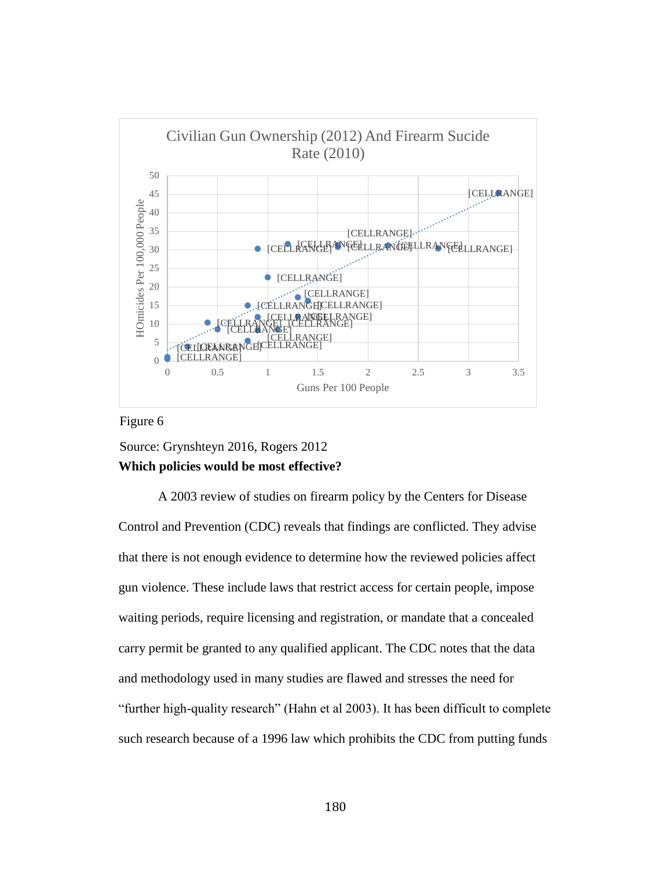

#### Figure 6

## Source: Grynshteyn 2016, Rogers 2012 **Which policies would be most effective?**

A 2003 review of studies on firearm policy by the Centers for Disease Control and Prevention (CDC) reveals that findings are conflicted. They advise that there is not enough evidence to determine how the reviewed policies affect gun violence. These include laws that restrict access for certain people, impose waiting periods, require licensing and registration, or mandate that a concealed carry permit be granted to any qualified applicant. The CDC notes that the data and methodology used in many studies are flawed and stresses the need for "further high-quality research" (Hahn et al 2003). It has been difficult to complete such research because of a 1996 law which prohibits the CDC from putting funds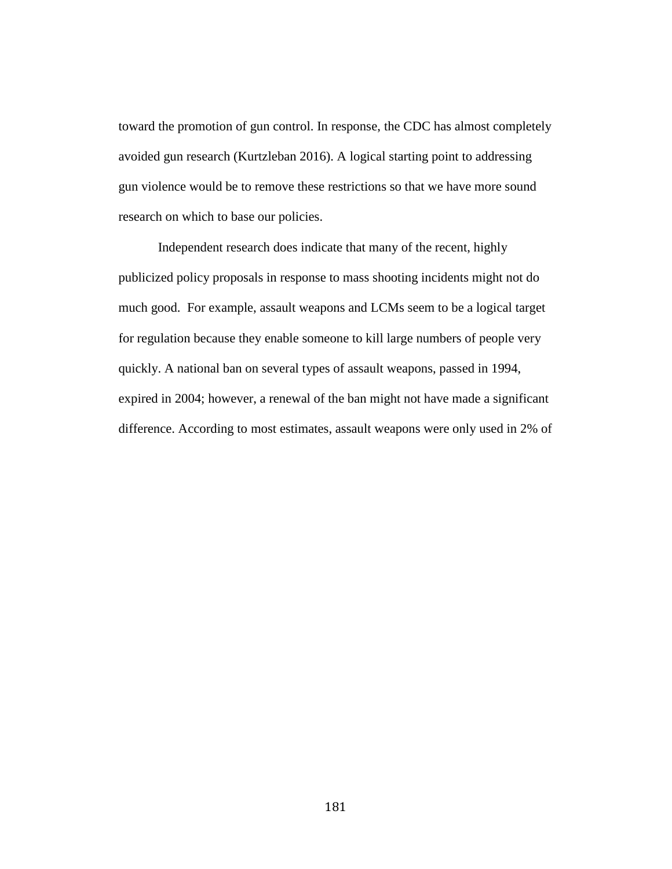toward the promotion of gun control. In response, the CDC has almost completely avoided gun research (Kurtzleban 2016). A logical starting point to addressing gun violence would be to remove these restrictions so that we have more sound research on which to base our policies.

Independent research does indicate that many of the recent, highly publicized policy proposals in response to mass shooting incidents might not do much good. For example, assault weapons and LCMs seem to be a logical target for regulation because they enable someone to kill large numbers of people very quickly. A national ban on several types of assault weapons, passed in 1994, expired in 2004; however, a renewal of the ban might not have made a significant difference. According to most estimates, assault weapons were only used in 2% of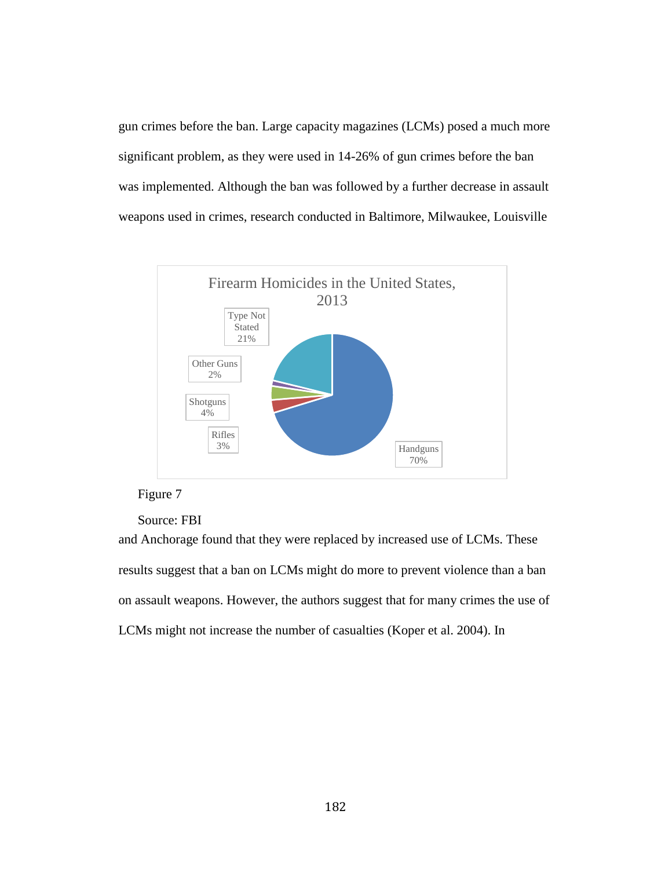gun crimes before the ban. Large capacity magazines (LCMs) posed a much more significant problem, as they were used in 14-26% of gun crimes before the ban was implemented. Although the ban was followed by a further decrease in assault weapons used in crimes, research conducted in Baltimore, Milwaukee, Louisville



#### Figure 7

#### Source: FBI

and Anchorage found that they were replaced by increased use of LCMs. These results suggest that a ban on LCMs might do more to prevent violence than a ban on assault weapons. However, the authors suggest that for many crimes the use of LCMs might not increase the number of casualties (Koper et al. 2004). In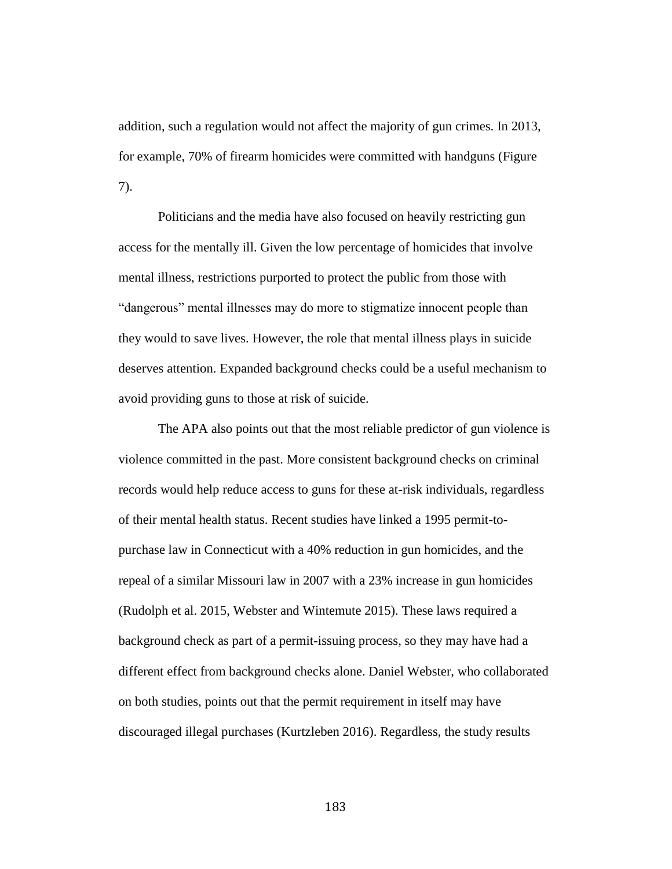addition, such a regulation would not affect the majority of gun crimes. In 2013, for example, 70% of firearm homicides were committed with handguns (Figure 7).

Politicians and the media have also focused on heavily restricting gun access for the mentally ill. Given the low percentage of homicides that involve mental illness, restrictions purported to protect the public from those with "dangerous" mental illnesses may do more to stigmatize innocent people than they would to save lives. However, the role that mental illness plays in suicide deserves attention. Expanded background checks could be a useful mechanism to avoid providing guns to those at risk of suicide.

The APA also points out that the most reliable predictor of gun violence is violence committed in the past. More consistent background checks on criminal records would help reduce access to guns for these at-risk individuals, regardless of their mental health status. Recent studies have linked a 1995 permit-topurchase law in Connecticut with a 40% reduction in gun homicides, and the repeal of a similar Missouri law in 2007 with a 23% increase in gun homicides (Rudolph et al. 2015, Webster and Wintemute 2015). These laws required a background check as part of a permit-issuing process, so they may have had a different effect from background checks alone. Daniel Webster, who collaborated on both studies, points out that the permit requirement in itself may have discouraged illegal purchases (Kurtzleben 2016). Regardless, the study results

183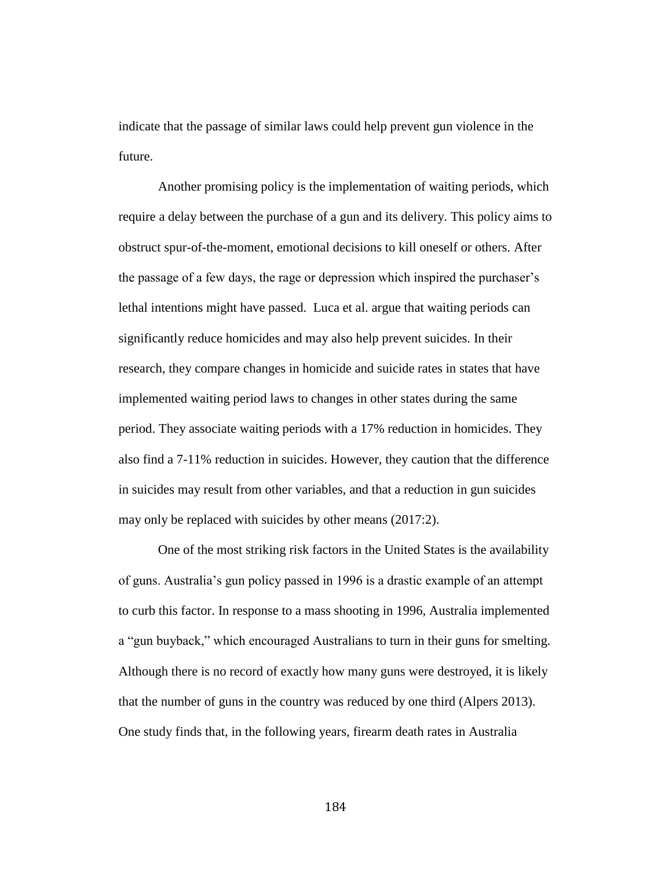indicate that the passage of similar laws could help prevent gun violence in the future.

Another promising policy is the implementation of waiting periods, which require a delay between the purchase of a gun and its delivery. This policy aims to obstruct spur-of-the-moment, emotional decisions to kill oneself or others. After the passage of a few days, the rage or depression which inspired the purchaser's lethal intentions might have passed. Luca et al. argue that waiting periods can significantly reduce homicides and may also help prevent suicides. In their research, they compare changes in homicide and suicide rates in states that have implemented waiting period laws to changes in other states during the same period. They associate waiting periods with a 17% reduction in homicides. They also find a 7-11% reduction in suicides. However, they caution that the difference in suicides may result from other variables, and that a reduction in gun suicides may only be replaced with suicides by other means (2017:2).

One of the most striking risk factors in the United States is the availability of guns. Australia's gun policy passed in 1996 is a drastic example of an attempt to curb this factor. In response to a mass shooting in 1996, Australia implemented a "gun buyback," which encouraged Australians to turn in their guns for smelting. Although there is no record of exactly how many guns were destroyed, it is likely that the number of guns in the country was reduced by one third (Alpers 2013). One study finds that, in the following years, firearm death rates in Australia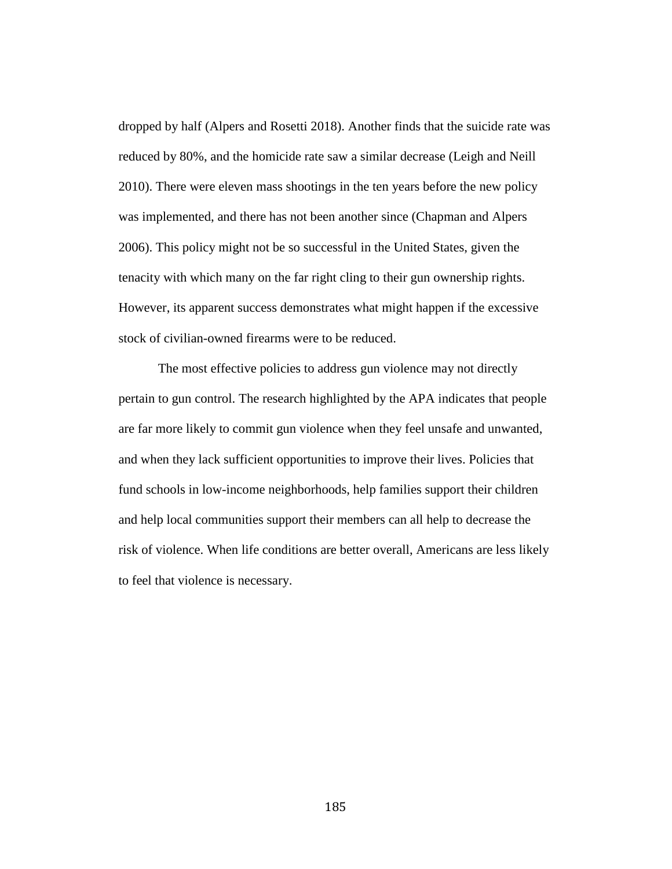dropped by half (Alpers and Rosetti 2018). Another finds that the suicide rate was reduced by 80%, and the homicide rate saw a similar decrease (Leigh and Neill 2010). There were eleven mass shootings in the ten years before the new policy was implemented, and there has not been another since (Chapman and Alpers 2006). This policy might not be so successful in the United States, given the tenacity with which many on the far right cling to their gun ownership rights. However, its apparent success demonstrates what might happen if the excessive stock of civilian-owned firearms were to be reduced.

The most effective policies to address gun violence may not directly pertain to gun control. The research highlighted by the APA indicates that people are far more likely to commit gun violence when they feel unsafe and unwanted, and when they lack sufficient opportunities to improve their lives. Policies that fund schools in low-income neighborhoods, help families support their children and help local communities support their members can all help to decrease the risk of violence. When life conditions are better overall, Americans are less likely to feel that violence is necessary.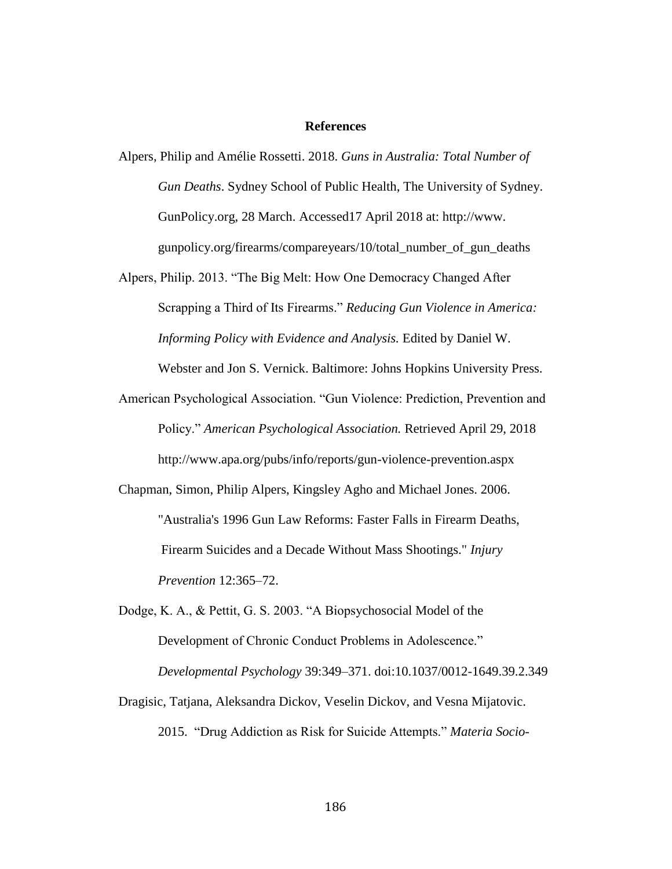#### **References**

Alpers, Philip and Amélie Rossetti. 2018. *Guns in Australia: Total Number of Gun Deaths*. Sydney School of Public Health, The University of Sydney. GunPolicy.org, 28 March. Accessed17 April 2018 at: http://www. gunpolicy.org/firearms/compareyears/10/total\_number\_of\_gun\_deaths

Alpers, Philip. 2013. "The Big Melt: How One Democracy Changed After Scrapping a Third of Its Firearms." *Reducing Gun Violence in America: Informing Policy with Evidence and Analysis.* Edited by Daniel W.

Webster and Jon S. Vernick. Baltimore: Johns Hopkins University Press.

American Psychological Association. "Gun Violence: Prediction, Prevention and Policy." *American Psychological Association.* Retrieved April 29, 2018 http://www.apa.org/pubs/info/reports/gun-violence-prevention.aspx

Chapman, Simon, Philip Alpers, Kingsley Agho and Michael Jones. 2006. "Australia's 1996 Gun Law Reforms: Faster Falls in Firearm Deaths, Firearm Suicides and a Decade Without Mass Shootings." *Injury Prevention* 12:365–72.

- Dodge, K. A., & Pettit, G. S. 2003. "A Biopsychosocial Model of the Development of Chronic Conduct Problems in Adolescence." *Developmental Psychology* 39:349–371. doi:10.1037/0012-1649.39.2.349
- Dragisic, Tatjana, Aleksandra Dickov, Veselin Dickov, and Vesna Mijatovic. 2015. "Drug Addiction as Risk for Suicide Attempts." *Materia Socio-*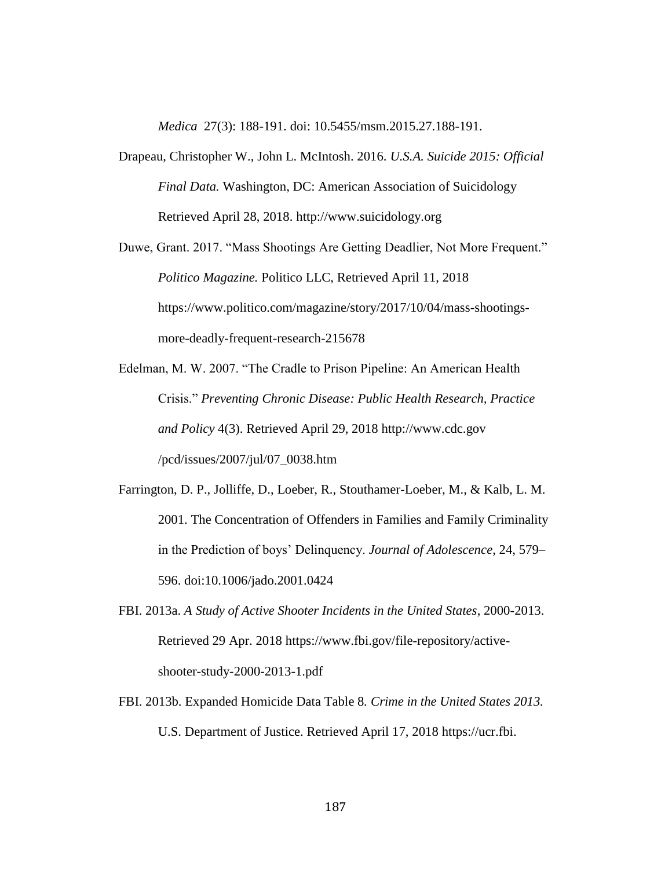*Medica* 27(3): 188-191. doi: 10.5455/msm.2015.27.188-191.

- Drapeau, Christopher W., John L. McIntosh. 2016. *U.S.A. Suicide 2015: Official Final Data.* Washington, DC: American Association of Suicidology Retrieved April 28, 2018. http://www.suicidology.org
- Duwe, Grant. 2017. "Mass Shootings Are Getting Deadlier, Not More Frequent." *Politico Magazine.* Politico LLC, Retrieved April 11, 2018 https://www.politico.com/magazine/story/2017/10/04/mass-shootingsmore-deadly-frequent-research-215678
- Edelman, M. W. 2007. "The Cradle to Prison Pipeline: An American Health Crisis." *Preventing Chronic Disease: Public Health Research, Practice and Policy* 4(3). Retrieved April 29, 2018 http://www.cdc.gov /pcd/issues/2007/jul/07\_0038.htm
- Farrington, D. P., Jolliffe, D., Loeber, R., Stouthamer-Loeber, M., & Kalb, L. M. 2001. The Concentration of Offenders in Families and Family Criminality in the Prediction of boys' Delinquency. *Journal of Adolescence*, 24, 579– 596. doi:10.1006/jado.2001.0424
- FBI. 2013a. *A Study of Active Shooter Incidents in the United States*, 2000-2013. Retrieved 29 Apr. 2018 https://www.fbi.gov/file-repository/activeshooter-study-2000-2013-1.pdf
- FBI. 2013b. Expanded Homicide Data Table 8*. Crime in the United States 2013.*  U.S. Department of Justice. Retrieved April 17, 2018 https://ucr.fbi.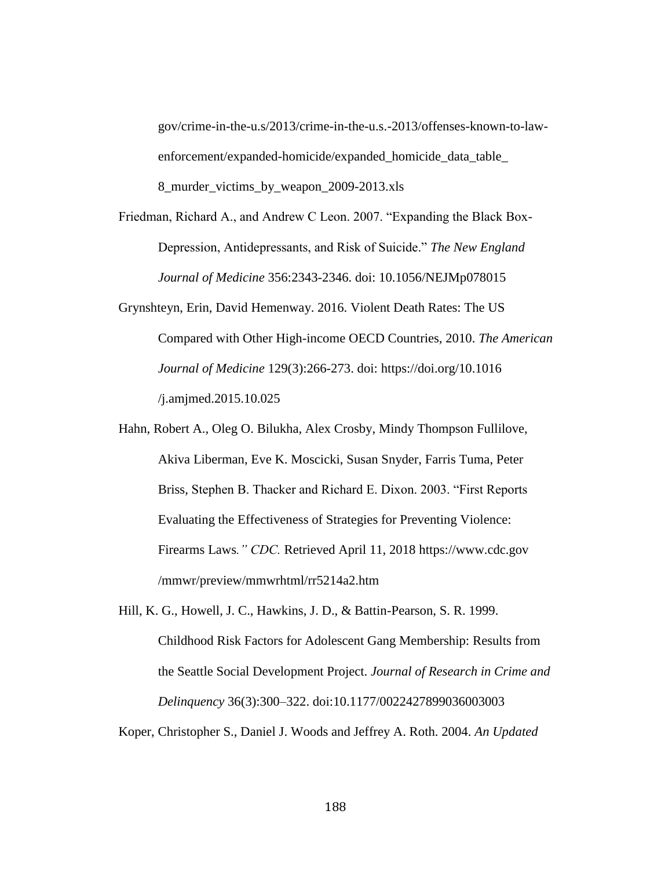gov/crime-in-the-u.s/2013/crime-in-the-u.s.-2013/offenses-known-to-lawenforcement/expanded-homicide/expanded\_homicide\_data\_table\_ 8\_murder\_victims\_by\_weapon\_2009-2013.xls

Friedman, Richard A., and Andrew C Leon. 2007. "Expanding the Black Box-Depression, Antidepressants, and Risk of Suicide." *The New England Journal of Medicine* 356:2343-2346. doi: 10.1056/NEJMp078015

- Grynshteyn, Erin, David Hemenway. 2016. Violent Death Rates: The US Compared with Other High-income OECD Countries, 2010. *The American Journal of Medicine* 129(3):266-273. doi: https://doi.org/10.1016 /j.amjmed.2015.10.025
- Hahn, Robert A., Oleg O. Bilukha, Alex Crosby, Mindy Thompson Fullilove, Akiva Liberman, Eve K. Moscicki, Susan Snyder, Farris Tuma, Peter Briss, Stephen B. Thacker and Richard E. Dixon. 2003. "First Reports Evaluating the Effectiveness of Strategies for Preventing Violence: Firearms Laws*." CDC.* Retrieved April 11, 2018 https://www.cdc.gov /mmwr/preview/mmwrhtml/rr5214a2.htm
- Hill, K. G., Howell, J. C., Hawkins, J. D., & Battin-Pearson, S. R. 1999. Childhood Risk Factors for Adolescent Gang Membership: Results from the Seattle Social Development Project. *Journal of Research in Crime and Delinquency* 36(3):300–322. doi:10.1177/0022427899036003003

Koper, Christopher S., Daniel J. Woods and Jeffrey A. Roth. 2004. *An Updated*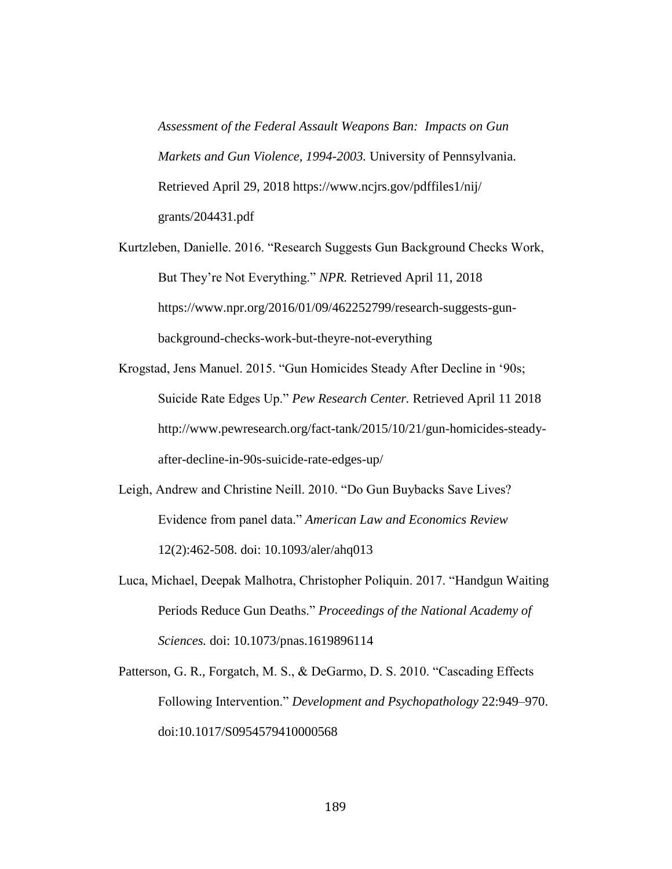*Assessment of the Federal Assault Weapons Ban: Impacts on Gun Markets and Gun Violence, 1994-2003.* University of Pennsylvania. Retrieved April 29, 2018 https://www.ncjrs.gov/pdffiles1/nij/ grants/204431.pdf

Kurtzleben, Danielle. 2016. "Research Suggests Gun Background Checks Work, But They're Not Everything." *NPR.* Retrieved April 11, 2018 https://www.npr.org/2016/01/09/462252799/research-suggests-gunbackground-checks-work-but-theyre-not-everything

Krogstad, Jens Manuel. 2015. "Gun Homicides Steady After Decline in '90s; Suicide Rate Edges Up." *Pew Research Center.* Retrieved April 11 2018 http://www.pewresearch.org/fact-tank/2015/10/21/gun-homicides-steadyafter-decline-in-90s-suicide-rate-edges-up/

- Leigh, Andrew and Christine Neill. 2010. "Do Gun Buybacks Save Lives? Evidence from panel data." *American Law and Economics Review* 12(2):462-508. doi: 10.1093/aler/ahq013
- Luca, Michael, Deepak Malhotra, Christopher Poliquin. 2017. "Handgun Waiting Periods Reduce Gun Deaths." *Proceedings of the National Academy of Sciences.* doi: 10.1073/pnas.1619896114
- Patterson, G. R., Forgatch, M. S., & DeGarmo, D. S. 2010. "Cascading Effects Following Intervention." *Development and Psychopathology* 22:949–970. doi:10.1017/S0954579410000568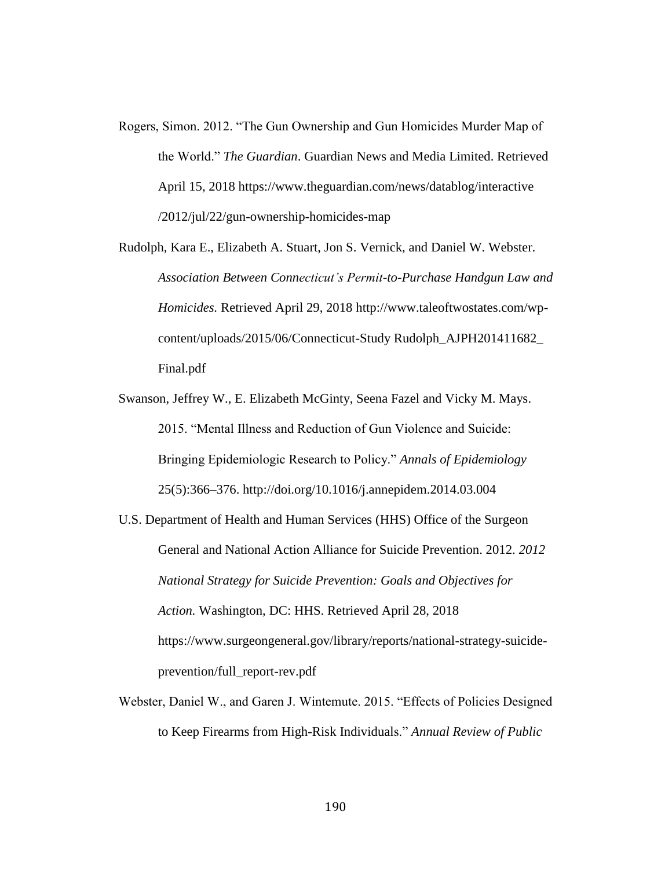- Rogers, Simon. 2012. "The Gun Ownership and Gun Homicides Murder Map of the World." *The Guardian*. Guardian News and Media Limited. Retrieved April 15, 2018 https://www.theguardian.com/news/datablog/interactive /2012/jul/22/gun-ownership-homicides-map
- Rudolph, Kara E., Elizabeth A. Stuart, Jon S. Vernick, and Daniel W. Webster. *Association Between Connecticut's Permit-to-Purchase Handgun Law and Homicides.* Retrieved April 29, 2018 http://www.taleoftwostates.com/wpcontent/uploads/2015/06/Connecticut-Study Rudolph\_AJPH201411682\_ Final.pdf
- Swanson, Jeffrey W., E. Elizabeth McGinty, Seena Fazel and Vicky M. Mays. 2015. "Mental Illness and Reduction of Gun Violence and Suicide: Bringing Epidemiologic Research to Policy." *Annals of Epidemiology* 25(5):366–376. http://doi.org/10.1016/j.annepidem.2014.03.004
- U.S. Department of Health and Human Services (HHS) Office of the Surgeon General and National Action Alliance for Suicide Prevention. 2012. *2012 National Strategy for Suicide Prevention: Goals and Objectives for Action.* Washington, DC: HHS. Retrieved April 28, 2018 https://www.surgeongeneral.gov/library/reports/national-strategy-suicideprevention/full\_report-rev.pdf
- Webster, Daniel W., and Garen J. Wintemute. 2015. "Effects of Policies Designed to Keep Firearms from High-Risk Individuals." *Annual Review of Public*